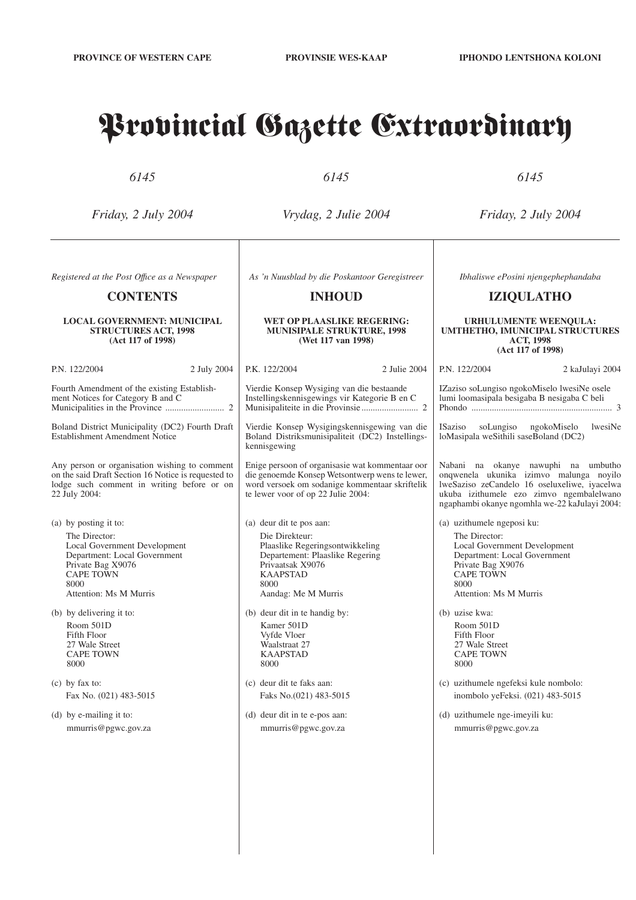# Provincial Gazette Extraordinary

*6145*

*6145*

*6145*

*Friday, 2 July 2004*

*Vrydag, 2 Julie 2004*

*Friday, 2 July 2004*

*Registered at the Post Offıce as a Newspaper*

# **CONTENTS**

# **LOCAL GOVERNMENT: MUNICIPAL STRUCTURES ACT, 1998 (Act 117 of 1998)**

P.N. 122/2004 2 July 2004

Fourth Amendment of the existing Establishment Notices for Category B and C Municipalities in the Province .......................... 2 Boland District Municipality (DC2) Fourth Draft Establishment Amendment Notice Any person or organisation wishing to comment on the said Draft Section 16 Notice is requested to lodge such comment in writing before or on 22 July 2004:

(a) by posting it to: The Director: Local Government Development Department: Local Government Private Bag X9076 CAPE TOWN  $8000$ Attention: Ms M Murris

(b) by delivering it to: Room 501D Fifth Floor 27 Wale Street CAPE TOWN 8000

(c) by fax to: Fax No. (021) 483-5015

(d) by e-mailing it to: mmurris@pgwc.gov.za *As 'n Nuusblad by die Poskantoor Geregistreer*

# **INHOUD**

# **WET OP PLAASLIKE REGERING: MUNISIPALE STRUKTURE, 1998 (Wet 117 van 1998)**

P.K. 122/2004 2 Julie 2004 Vierdie Konsep Wysiging van die bestaande

Instellingskennisgewings vir Kategorie B en C Munisipaliteite in die Provinsie......................... 2

Vierdie Konsep Wysigingskennisgewing van die Boland Distriksmunisipaliteit (DC2) Instellingskennisgewing

Enige persoon of organisasie wat kommentaar oor die genoemde Konsep Wetsontwerp wens te lewer, word versoek om sodanige kommentaar skriftelik te lewer voor of op 22 Julie 2004:

(a) deur dit te pos aan: Die Direkteur: Plaaslike Regeringsontwikkeling Departement: Plaaslike Regering Privaatsak X9076 KAAPSTAD 8000 Aandag: Me M Murris

(b) deur dit in te handig by: Kamer 501D Vyfde Vloer Waalstraat 27 KAAPSTAD 8000

(c) deur dit te faks aan: Faks No.(021) 483-5015

(d) deur dit in te e-pos aan: mmurris@pgwc.gov.za

*Ibhaliswe ePosini njengephephandaba*

# **IZIQULATHO**

#### **URHULUMENTE WEENQULA: UMTHETHO, IMUNICIPAL STRUCTURES ACT, 1998 (Act 117 of 1998)**

P.N. 122/2004 2 kaJulayi 2004 IZaziso soLungiso ngokoMiselo lwesiNe osele lumi loomasipala besigaba B nesigaba C beli

Phondo .............................................................. 3

ISaziso soLungiso ngokoMiselo lwesiNe loMasipala weSithili saseBoland (DC2)

Nabani na okanye nawuphi na umbutho onqwenela ukunika izimvo malunga noyilo lweSaziso zeCandelo 16 oseluxeliwe, iyacelwa ukuba izithumele ezo zimvo ngembalelwano ngaphambi okanye ngomhla we-22 kaJulayi 2004:

(a) uzithumele ngeposi ku: The Director: Local Government Development Department: Local Government Private Bag X9076 CAPE TOWN 8000 Attention: Ms M Murris

(b) uzise kwa: Room 501D Fifth Floor 27 Wale Street CAPE TOWN 8000

(c) uzithumele ngefeksi kule nombolo: inombolo yeFeksi. (021) 483-5015

(d) uzithumele nge-imeyili ku: mmurris@pgwc.gov.za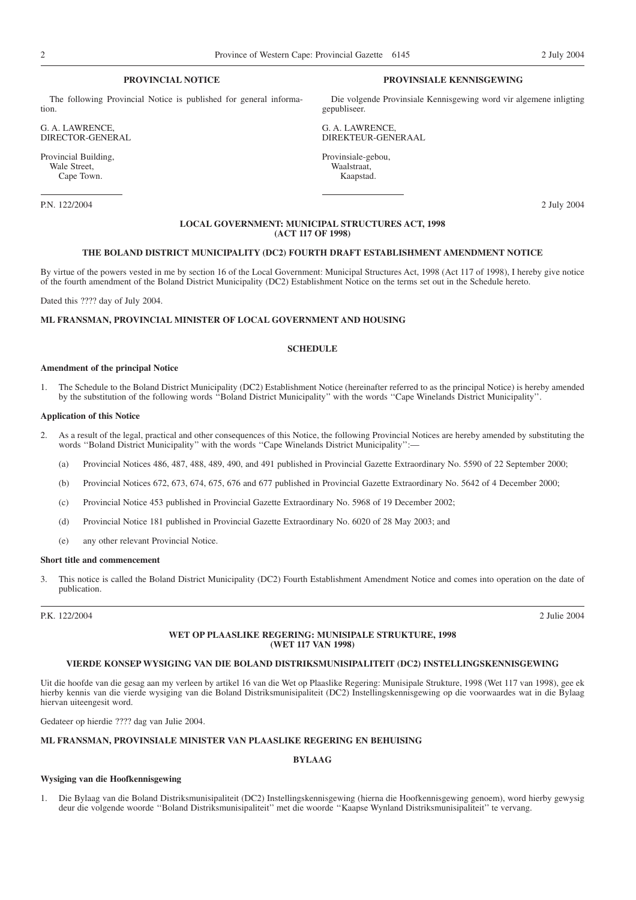# **PROVINCIAL NOTICE**

The following Provincial Notice is published for general information.

G. A. LAWRENCE, DIRECTOR-GENERAL

Provincial Building, Wale Street, Cape Town.

P.N. 122/2004 2 July 2004

# **PROVINSIALE KENNISGEWING**

Die volgende Provinsiale Kennisgewing word vir algemene inligting gepubliseer.

G. A. LAWRENCE, DIREKTEUR-GENERAAL

Provinsiale-gebou, Waalstraat, Kaapstad.

# **LOCAL GOVERNMENT: MUNICIPAL STRUCTURES ACT, 1998 (ACT 117 OF 1998)**

# **THE BOLAND DISTRICT MUNICIPALITY (DC2) FOURTH DRAFT ESTABLISHMENT AMENDMENT NOTICE**

By virtue of the powers vested in me by section 16 of the Local Government: Municipal Structures Act, 1998 (Act 117 of 1998), I hereby give notice of the fourth amendment of the Boland District Municipality (DC2) Establishment Notice on the terms set out in the Schedule hereto.

Dated this ???? day of July 2004.

# **ML FRANSMAN, PROVINCIAL MINISTER OF LOCAL GOVERNMENT AND HOUSING**

# **SCHEDULE**

#### **Amendment of the principal Notice**

1. The Schedule to the Boland District Municipality (DC2) Establishment Notice (hereinafter referred to as the principal Notice) is hereby amended by the substitution of the following words ''Boland District Municipality'' with the words ''Cape Winelands District Municipality''.

# **Application of this Notice**

- 2. As a result of the legal, practical and other consequences of this Notice, the following Provincial Notices are hereby amended by substituting the words "Boland District Municipality" with the words "Cape Winelands District Municipality":-
	- (a) Provincial Notices 486, 487, 488, 489, 490, and 491 published in Provincial Gazette Extraordinary No. 5590 of 22 September 2000;
	- (b) Provincial Notices 672, 673, 674, 675, 676 and 677 published in Provincial Gazette Extraordinary No. 5642 of 4 December 2000;
	- (c) Provincial Notice 453 published in Provincial Gazette Extraordinary No. 5968 of 19 December 2002;
	- (d) Provincial Notice 181 published in Provincial Gazette Extraordinary No. 6020 of 28 May 2003; and
	- (e) any other relevant Provincial Notice.

# **Short title and commencement**

3. This notice is called the Boland District Municipality (DC2) Fourth Establishment Amendment Notice and comes into operation on the date of publication.

P.K. 122/2004 2 Julie 2004

# **WET OP PLAASLIKE REGERING: MUNISIPALE STRUKTURE, 1998 (WET 117 VAN 1998)**

# **VIERDE KONSEP WYSIGING VAN DIE BOLAND DISTRIKSMUNISIPALITEIT (DC2) INSTELLINGSKENNISGEWING**

Uit die hoofde van die gesag aan my verleen by artikel 16 van die Wet op Plaaslike Regering: Munisipale Strukture, 1998 (Wet 117 van 1998), gee ek hierby kennis van die vierde wysiging van die Boland Distriksmunisipaliteit (DC2) Instellingskennisgewing op die voorwaardes wat in die Bylaag hiervan uiteengesit word.

Gedateer op hierdie ???? dag van Julie 2004.

# **ML FRANSMAN, PROVINSIALE MINISTER VAN PLAASLIKE REGERING EN BEHUISING**

#### **BYLAAG**

# **Wysiging van die Hoofkennisgewing**

1. Die Bylaag van die Boland Distriksmunisipaliteit (DC2) Instellingskennisgewing (hierna die Hoofkennisgewing genoem), word hierby gewysig deur die volgende woorde ''Boland Distriksmunisipaliteit'' met die woorde ''Kaapse Wynland Distriksmunisipaliteit'' te vervang.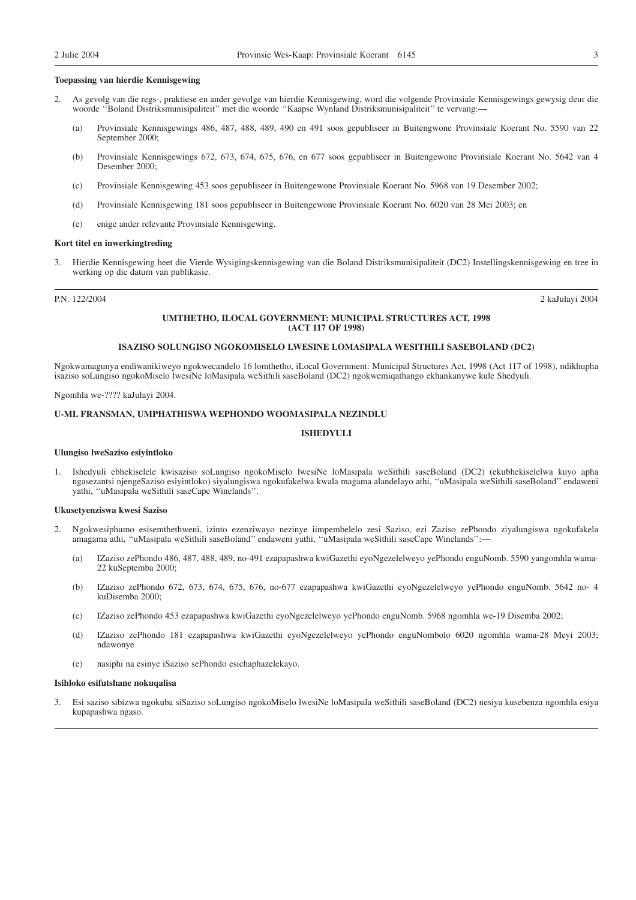# **Toepassing van hierdie Kennisgewing**

- 2. As gevolg van die regs-, praktiese en ander gevolge van hierdie Kennisgewing, word die volgende Provinsiale Kennisgewings gewysig deur die woorde ''Boland Distriksmunisipaliteit'' met die woorde ''Kaapse Wynland Distriksmunisipaliteit'' te vervang:—
	- (a) Provinsiale Kennisgewings 486, 487, 488, 489, 490 en 491 soos gepubliseer in Buitengwone Provinsiale Koerant No. 5590 van 22 September 2000;
	- (b) Provinsiale Kennisgewings 672, 673, 674, 675, 676, en 677 soos gepubliseer in Buitengewone Provinsiale Koerant No. 5642 van 4 Desember 2000;
	- (c) Provinsiale Kennisgewing 453 soos gepubliseer in Buitengewone Provinsiale Koerant No. 5968 van 19 Desember 2002;
	- (d) Provinsiale Kennisgewing 181 soos gepubliseer in Buitengewone Provinsiale Koerant No. 6020 van 28 Mei 2003; en
	- (e) enige ander relevante Provinsiale Kennisgewing.

# **Kort titel en inwerkingtreding**

3. Hierdie Kennisgewing heet die Vierde Wysigingskennisgewing van die Boland Distriksmunisipaliteit (DC2) Instellingskennisgewing en tree in werking op die datum van publikasie.

P.N. 122/2004 2 kaJulayi 2004

#### **UMTHETHO, ILOCAL GOVERNMENT: MUNICIPAL STRUCTURES ACT, 1998 (ACT 117 OF 1998)**

# **ISAZISO SOLUNGISO NGOKOMISELO LWESINE LOMASIPALA WESITHILI SASEBOLAND (DC2)**

Ngokwamagunya endiwanikiweyo ngokwecandelo 16 lomthetho, iLocal Government: Municipal Structures Act, 1998 (Act 117 of 1998), ndikhupha isaziso soLungiso ngokoMiselo lwesiNe loMasipala weSithili saseBoland (DC2) ngokwemiqathango ekhankanywe kule Shedyuli.

Ngomhla we-???? kaJulayi 2004.

# **U-ML FRANSMAN, UMPHATHISWA WEPHONDO WOOMASIPALA NEZINDLU**

# **ISHEDYULI**

# **Ulungiso lweSaziso esiyintloko**

1. Ishedyuli ebhekiselele kwisaziso soLungiso ngokoMiselo lwesiNe loMasipala weSithili saseBoland (DC2) (ekubhekiselelwa kuyo apha ngasezantsi njengeSaziso esiyintloko) siyalungiswa ngokufakelwa kwala magama alandelayo athi, ''uMasipala weSithili saseBoland'' endaweni yathi, ''uMasipala weSithili saseCape Winelands''.

#### **Ukusetyenziswa kwesi Saziso**

- 2. Ngokwesiphumo esisemthethweni, izinto ezenziwayo nezinye iimpembelelo zesi Saziso, ezi Zaziso zePhondo ziyalungiswa ngokufakela amagama athi, ''uMasipala weSithili saseBoland'' endaweni yathi, ''uMasipala weSithili saseCape Winelands'':—
	- (a) IZaziso zePhondo 486, 487, 488, 489, no-491 ezapapashwa kwiGazethi eyoNgezelelweyo yePhondo enguNomb. 5590 yangomhla wama-22 kuSeptemba 2000;
	- (b) IZaziso zePhondo 672, 673, 674, 675, 676, no-677 ezapapashwa kwiGazethi eyoNgezelelweyo yePhondo enguNomb. 5642 no- 4 kuDisemba 2000;
	- (c) IZaziso zePhondo 453 ezapapashwa kwiGazethi eyoNgezelelweyo yePhondo enguNomb. 5968 ngomhla we-19 Disemba 2002;
	- (d) IZaziso zePhondo 181 ezapapashwa kwiGazethi eyoNgezelelweyo yePhondo enguNombolo 6020 ngomhla wama-28 Meyi 2003; ndawonye
	- (e) nasiphi na esinye iSaziso sePhondo esichaphazelekayo.

#### **Isihloko esifutshane nokuqalisa**

3. Esi saziso sibizwa ngokuba siSaziso soLungiso ngokoMiselo lwesiNe loMasipala weSithili saseBoland (DC2) nesiya kusebenza ngomhla esiya kupapashwa ngaso.